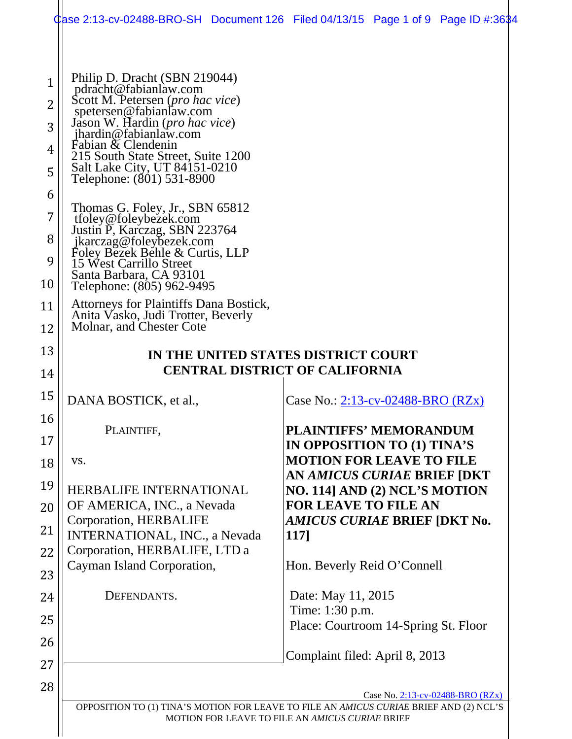|                                                                               | Case 2:13-cv-02488-BRO-SH Document 126 Filed 04/13/15 Page 1 of 9 Page ID #:3634                                                                                                                                                                                                                                                                                                                                                                                                                                                                                                                                   |  |                                                                     |  |                                  |
|-------------------------------------------------------------------------------|--------------------------------------------------------------------------------------------------------------------------------------------------------------------------------------------------------------------------------------------------------------------------------------------------------------------------------------------------------------------------------------------------------------------------------------------------------------------------------------------------------------------------------------------------------------------------------------------------------------------|--|---------------------------------------------------------------------|--|----------------------------------|
| $\mathbf{1}$<br>$\overline{2}$<br>3<br>4<br>5<br>6<br>7<br>8<br>9<br>10<br>11 | Philip D. Dracht (SBN 219044)<br>pdracht@fabianlaw.com<br>Scott M. Petersen ( <i>pro hac vice</i> )<br>spetersen@fabianlaw.com<br>Jason W. Hardin (pro hac vice)<br>jhardin@fabianlaw.com<br>Fabian & Clendenin<br>215 South State Street, Suite 1200<br>Salt Lake City, UT 84151-0210<br>Telephone: (801) 531-8900<br>Thomas G. Foley, Jr., SBN 65812<br>tfoley@foleybezek.com<br>Justin P, Karczag, SBN 223764<br>jkarczag@foleybezek.com<br>Foley Bezek Behle & Curtis, LLP<br>15 West Carrillo Street<br>Santa Barbara, CA 93101<br>Telephone: (805) 962-9495<br><b>Attorneys for Plaintiffs Dana Bostick,</b> |  |                                                                     |  |                                  |
| 12                                                                            | Anita Vasko, Judi Trotter, Beverly<br>Molnar, and Chester Cote                                                                                                                                                                                                                                                                                                                                                                                                                                                                                                                                                     |  |                                                                     |  |                                  |
| 13                                                                            | IN THE UNITED STATES DISTRICT COURT                                                                                                                                                                                                                                                                                                                                                                                                                                                                                                                                                                                |  |                                                                     |  |                                  |
| 14                                                                            | <b>CENTRAL DISTRICT OF CALIFORNIA</b>                                                                                                                                                                                                                                                                                                                                                                                                                                                                                                                                                                              |  |                                                                     |  |                                  |
| 15                                                                            | DANA BOSTICK, et al.,                                                                                                                                                                                                                                                                                                                                                                                                                                                                                                                                                                                              |  | Case No.: $2:13$ -cv-02488-BRO (RZx)                                |  |                                  |
| 16                                                                            |                                                                                                                                                                                                                                                                                                                                                                                                                                                                                                                                                                                                                    |  | <b>PLAINTIFFS' MEMORANDUM</b>                                       |  |                                  |
| 17                                                                            | PLAINTIFF,                                                                                                                                                                                                                                                                                                                                                                                                                                                                                                                                                                                                         |  | IN OPPOSITION TO (1) TINA'S                                         |  |                                  |
| 18                                                                            | VS.                                                                                                                                                                                                                                                                                                                                                                                                                                                                                                                                                                                                                |  | <b>MOTION FOR LEAVE TO FILE</b>                                     |  |                                  |
| 19                                                                            | <b>HERBALIFE INTERNATIONAL</b>                                                                                                                                                                                                                                                                                                                                                                                                                                                                                                                                                                                     |  | AN <i>AMICUS CURIAE</i> BRIEF [DKT<br>NO. 114] AND (2) NCL'S MOTION |  |                                  |
| 20                                                                            | OF AMERICA, INC., a Nevada<br>Corporation, HERBALIFE                                                                                                                                                                                                                                                                                                                                                                                                                                                                                                                                                               |  | <b>FOR LEAVE TO FILE AN</b><br><b>AMICUS CURIAE BRIEF [DKT No.</b>  |  |                                  |
| 21                                                                            | <b>INTERNATIONAL, INC., a Nevada</b>                                                                                                                                                                                                                                                                                                                                                                                                                                                                                                                                                                               |  | <b>1171</b>                                                         |  |                                  |
| 22                                                                            | Corporation, HERBALIFE, LTD a<br>Cayman Island Corporation,                                                                                                                                                                                                                                                                                                                                                                                                                                                                                                                                                        |  | Hon. Beverly Reid O'Connell                                         |  |                                  |
| 23                                                                            |                                                                                                                                                                                                                                                                                                                                                                                                                                                                                                                                                                                                                    |  |                                                                     |  |                                  |
| 24                                                                            | DEFENDANTS.                                                                                                                                                                                                                                                                                                                                                                                                                                                                                                                                                                                                        |  | Date: May 11, 2015                                                  |  |                                  |
| 25                                                                            |                                                                                                                                                                                                                                                                                                                                                                                                                                                                                                                                                                                                                    |  | Time: 1:30 p.m.<br>Place: Courtroom 14-Spring St. Floor             |  |                                  |
| 26                                                                            |                                                                                                                                                                                                                                                                                                                                                                                                                                                                                                                                                                                                                    |  |                                                                     |  |                                  |
| 27                                                                            |                                                                                                                                                                                                                                                                                                                                                                                                                                                                                                                                                                                                                    |  | Complaint filed: April 8, 2013                                      |  |                                  |
| 28                                                                            |                                                                                                                                                                                                                                                                                                                                                                                                                                                                                                                                                                                                                    |  |                                                                     |  | Case No. 2:13-cv-02488-BRO (RZx) |
|                                                                               | OPPOSITION TO (1) TINA'S MOTION FOR LEAVE TO FILE AN AMICUS CURIAE BRIEF AND (2) NCL'S                                                                                                                                                                                                                                                                                                                                                                                                                                                                                                                             |  | MOTION FOR LEAVE TO FILE AN AMICUS CURIAE BRIEF                     |  |                                  |
|                                                                               |                                                                                                                                                                                                                                                                                                                                                                                                                                                                                                                                                                                                                    |  |                                                                     |  |                                  |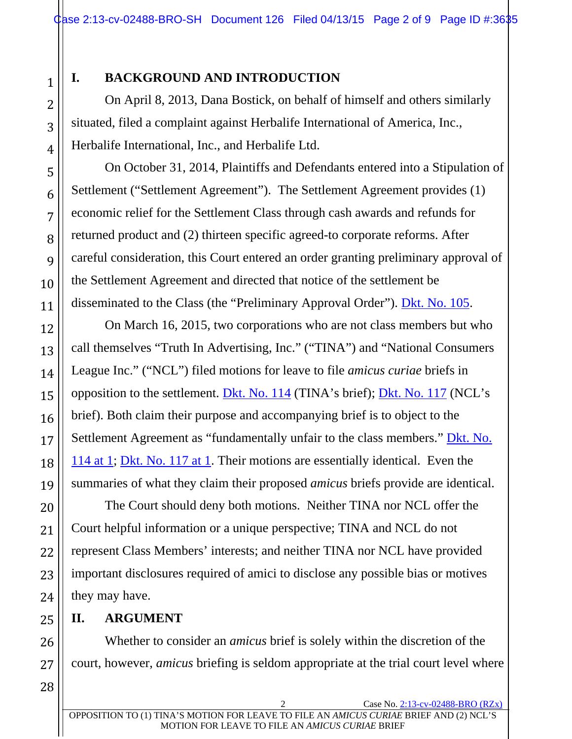# 1

2

3

4

5

6

7

8

9

10

11

12

13

14

15

16

17

18

19

20

21

22

23

24

25

26

27

## **I. BACKGROUND AND INTRODUCTION**

On April 8, 2013, Dana Bostick, on behalf of himself and others similarly situated, filed a complaint against Herbalife International of America, Inc., Herbalife International, Inc., and Herbalife Ltd.

On October 31, 2014, Plaintiffs and Defendants entered into a Stipulation of Settlement ("Settlement Agreement"). The Settlement Agreement provides (1) economic relief for the Settlement Class through cash awards and refunds for returned product and (2) thirteen specific agreed-to corporate reforms. After careful consideration, this Court entered an order granting preliminary approval of the Settlement Agreement and directed that notice of the settlement be disseminated to the Class (the "Preliminary Approval Order"). Dkt. No. 105.

On March 16, 2015, two corporations who are not class members but who call themselves "Truth In Advertising, Inc." ("TINA") and "National Consumers League Inc." ("NCL") filed motions for leave to file *amicus curiae* briefs in opposition to the settlement. Dkt. No. 114 (TINA's brief); Dkt. No. 117 (NCL's brief). Both claim their purpose and accompanying brief is to object to the Settlement Agreement as "fundamentally unfair to the class members." Dkt. No. 114 at 1; Dkt. No. 117 at 1. Their motions are essentially identical. Even the summaries of what they claim their proposed *amicus* briefs provide are identical.

The Court should deny both motions. Neither TINA nor NCL offer the Court helpful information or a unique perspective; TINA and NCL do not represent Class Members' interests; and neither TINA nor NCL have provided important disclosures required of amici to disclose any possible bias or motives they may have.

## **II. ARGUMENT**

Whether to consider an *amicus* brief is solely within the discretion of the court, however, *amicus* briefing is seldom appropriate at the trial court level where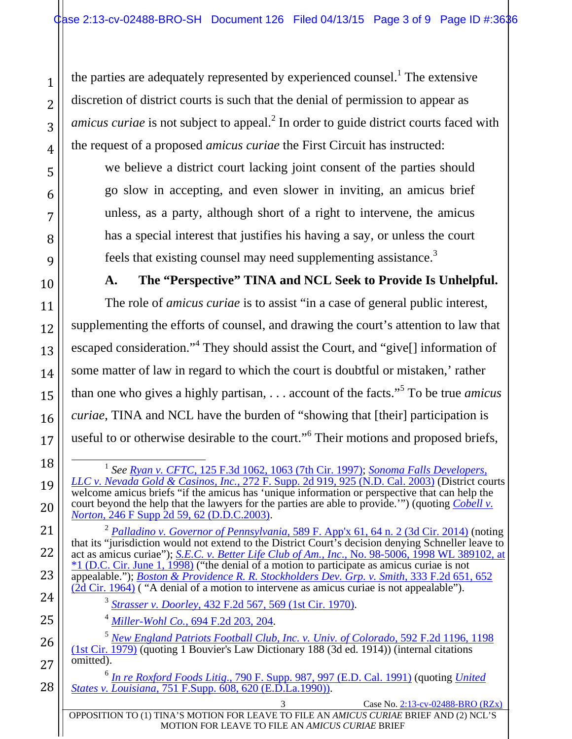the parties are adequately represented by experienced counsel.<sup>1</sup> The extensive discretion of district courts is such that the denial of permission to appear as *amicus curiae* is not subject to appeal.<sup>2</sup> In order to guide district courts faced with the request of a proposed *amicus curiae* the First Circuit has instructed:

we believe a district court lacking joint consent of the parties should go slow in accepting, and even slower in inviting, an amicus brief unless, as a party, although short of a right to intervene, the amicus has a special interest that justifies his having a say, or unless the court feels that existing counsel may need supplementing assistance.<sup>3</sup>

**A. The "Perspective" TINA and NCL Seek to Provide Is Unhelpful.**

The role of *amicus curiae* is to assist "in a case of general public interest, supplementing the efforts of counsel, and drawing the court's attention to law that escaped consideration."<sup>4</sup> They should assist the Court, and "give[] information of some matter of law in regard to which the court is doubtful or mistaken,' rather than one who gives a highly partisan, . . . account of the facts."<sup>5</sup> To be true *amicus curiae*, TINA and NCL have the burden of "showing that [their] participation is useful to or otherwise desirable to the court."<sup>6</sup> Their motions and proposed briefs,

Case No. 2:13-cv-02488-BRO (RZx)

 <sup>1</sup> *See Ryan v. CFTC*, 125 F.3d 1062, 1063 (7th Cir. 1997); *Sonoma Falls Developers, LLC v. Nevada Gold & Casinos, Inc.*, 272 F. Supp. 2d 919, 925 (N.D. Cal. 2003) (District courts welcome amicus briefs "if the amicus has 'unique information or perspective that can help the court beyond the help that the lawyers for the parties are able to provide.'") (quoting *Cobell v. Norton,* 246 F Supp 2d 59, 62 (D.D.C.2003).

<sup>2</sup> *Palladino v. Governor of Pennsylvania*, 589 F. App'x 61, 64 n. 2 (3d Cir. 2014) (noting that its "jurisdiction would not extend to the District Court's decision denying Schneller leave to act as amicus curiae"); *S.E.C. v. Better Life Club of Am., Inc*., No. 98-5006, 1998 WL 389102, at \*1 (D.C. Cir. June 1, 1998) ("the denial of a motion to participate as amicus curiae is not appealable."); *Boston & Providence R. R. Stockholders Dev. Grp. v. Smith*, 333 F.2d 651, 652 (2d Cir. 1964) ( "A denial of a motion to intervene as amicus curiae is not appealable").

<sup>3</sup> *Strasser v. Doorley*, 432 F.2d 567, 569 (1st Cir. 1970).

<sup>4</sup> *Miller-Wohl Co.*, 694 F.2d 203, 204.

<sup>5</sup> *New England Patriots Football Club, Inc. v. Univ. of Colorado*, 592 F.2d 1196, 1198 (1st Cir. 1979) (quoting 1 Bouvier's Law Dictionary 188 (3d ed. 1914)) (internal citations omitted).

<sup>6</sup> *In re Roxford Foods Litig*., 790 F. Supp. 987, 997 (E.D. Cal. 1991) (quoting *United States v. Louisiana*, 751 F.Supp. 608, 620 (E.D.La.1990)).

OPPOSITION TO (1) TINA'S MOTION FOR LEAVE TO FILE AN *AMICUS CURIAE* BRIEF AND (2) NCL'S MOTION FOR LEAVE TO FILE AN *AMICUS CURIAE* BRIEF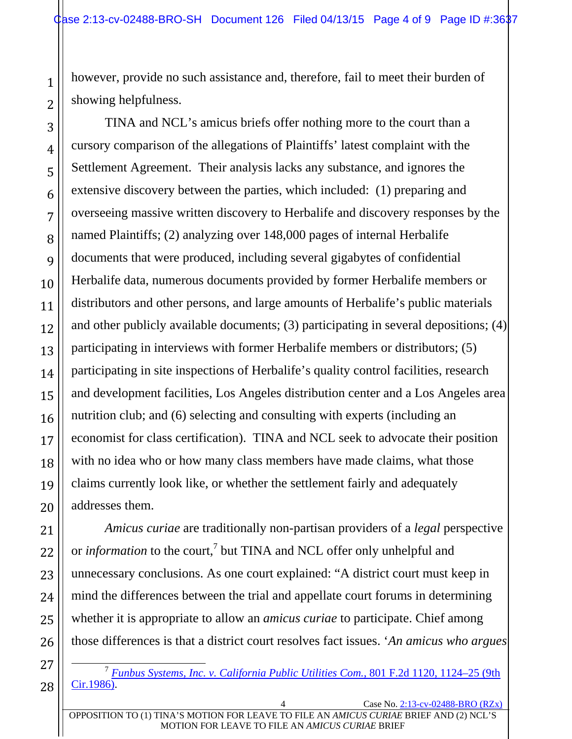however, provide no such assistance and, therefore, fail to meet their burden of showing helpfulness.

TINA and NCL's amicus briefs offer nothing more to the court than a cursory comparison of the allegations of Plaintiffs' latest complaint with the Settlement Agreement. Their analysis lacks any substance, and ignores the extensive discovery between the parties, which included: (1) preparing and overseeing massive written discovery to Herbalife and discovery responses by the named Plaintiffs; (2) analyzing over 148,000 pages of internal Herbalife documents that were produced, including several gigabytes of confidential Herbalife data, numerous documents provided by former Herbalife members or distributors and other persons, and large amounts of Herbalife's public materials and other publicly available documents; (3) participating in several depositions; (4) participating in interviews with former Herbalife members or distributors; (5) participating in site inspections of Herbalife's quality control facilities, research and development facilities, Los Angeles distribution center and a Los Angeles area nutrition club; and (6) selecting and consulting with experts (including an economist for class certification). TINA and NCL seek to advocate their position with no idea who or how many class members have made claims, what those claims currently look like, or whether the settlement fairly and adequately addresses them.

*Amicus curiae* are traditionally non-partisan providers of a *legal* perspective or *information* to the court,<sup>7</sup> but TINA and NCL offer only unhelpful and unnecessary conclusions. As one court explained: "A district court must keep in mind the differences between the trial and appellate court forums in determining whether it is appropriate to allow an *amicus curiae* to participate. Chief among those differences is that a district court resolves fact issues. '*An amicus who argues* 

 <sup>7</sup> *Funbus Systems, Inc. v. California Public Utilities Com.*, 801 F.2d 1120, 1124–25 (9th Cir.1986).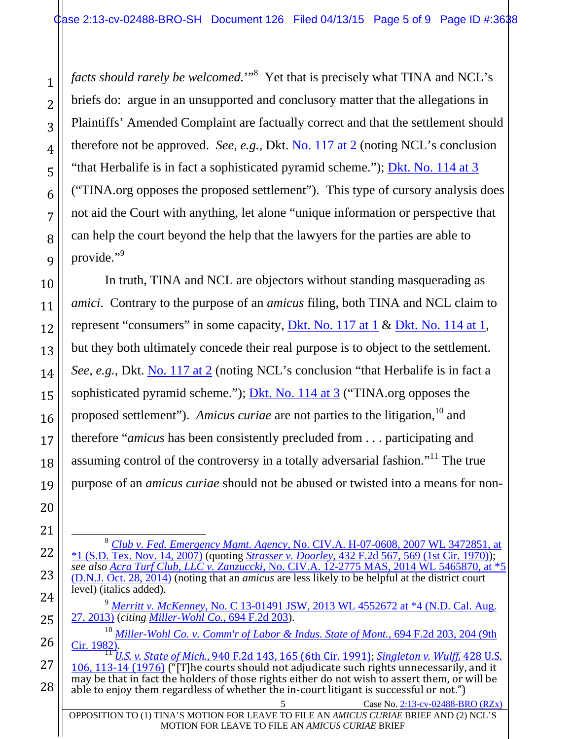facts should rarely be welcomed.<sup>'"8</sup> Yet that is precisely what TINA and NCL's briefs do: argue in an unsupported and conclusory matter that the allegations in Plaintiffs' Amended Complaint are factually correct and that the settlement should therefore not be approved. *See, e.g.,* Dkt. No. 117 at 2 (noting NCL's conclusion "that Herbalife is in fact a sophisticated pyramid scheme."); **Dkt. No. 114 at 3** ("TINA.org opposes the proposed settlement"). This type of cursory analysis does not aid the Court with anything, let alone "unique information or perspective that can help the court beyond the help that the lawyers for the parties are able to provide."<sup>9</sup>

In truth, TINA and NCL are objectors without standing masquerading as *amici*. Contrary to the purpose of an *amicus* filing, both TINA and NCL claim to represent "consumers" in some capacity, Dkt. No. 117 at 1 & Dkt. No. 114 at 1, but they both ultimately concede their real purpose is to object to the settlement. *See, e.g., Dkt.* No. 117 at 2 (noting NCL's conclusion "that Herbalife is in fact a sophisticated pyramid scheme."); Dkt. No. 114 at 3 ("TINA.org opposes the proposed settlement"). *Amicus curiae* are not parties to the litigation,<sup>10</sup> and therefore "*amicus* has been consistently precluded from . . . participating and assuming control of the controversy in a totally adversarial fashion."<sup>11</sup> The true purpose of an *amicus curiae* should not be abused or twisted into a means for non-

26

27

28

1

2

3

4

5

6

7

8

9

10

11

12

13

14

15

16

17

18

19

20

\*1 (S.D. Tex. Nov. 14, 2007) (quoting *Strasser v. Doorley*, 432 F.2d 567, 569 (1st Cir. 1970)); *see also Acra Turf Club, LLC v. Zanzuccki*, No. CIV.A. 12-2775 MAS, 2014 WL 5465870, at \*5 (D.N.J. Oct. 28, 2014) (noting that an *amicus* are less likely to be helpful at the district court level) (italics added). <sup>9</sup> *Merritt v. McKenney*, No. C 13-01491 JSW, 2013 WL 4552672 at \*4 (N.D. Cal. Aug. 27, 2013) (*citing Miller-Wohl Co.*, 694 F.2d 203). <sup>10</sup> *Miller-Wohl Co. v. Comm'r of Labor & Indus. State of Mont.*, 694 F.2d 203, 204 (9th Cir. 1982)*.* <sup>11</sup> *U.S. v. State of Mich.*, 940 F.2d 143, 165 (6th Cir. 1991); *Singleton v. Wulff,* 428 U.S. 

 <sup>8</sup> *Club v. Fed. Emergency Mgmt. Agency*, No. CIV.A. H-07-0608, 2007 WL 3472851, at

106, 113-14 (1976) ("[T]he courts should not adjudicate such rights unnecessarily, and it may be that in fact the holders of those rights either do not wish to assert them, or will be able to enjoy them regardless of whether the in-court litigant is successful or not.")

Case No. 2:13-cv-02488-BRO (RZx)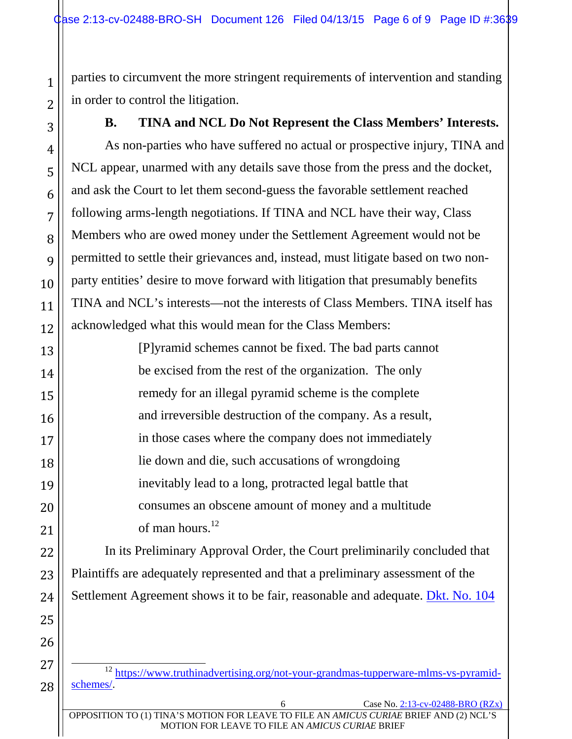parties to circumvent the more stringent requirements of intervention and standing in order to control the litigation.

**B. TINA and NCL Do Not Represent the Class Members' Interests.** 

As non-parties who have suffered no actual or prospective injury, TINA and NCL appear, unarmed with any details save those from the press and the docket, and ask the Court to let them second-guess the favorable settlement reached following arms-length negotiations. If TINA and NCL have their way, Class Members who are owed money under the Settlement Agreement would not be permitted to settle their grievances and, instead, must litigate based on two nonparty entities' desire to move forward with litigation that presumably benefits TINA and NCL's interests—not the interests of Class Members. TINA itself has acknowledged what this would mean for the Class Members:

[P]yramid schemes cannot be fixed. The bad parts cannot be excised from the rest of the organization. The only remedy for an illegal pyramid scheme is the complete and irreversible destruction of the company. As a result, in those cases where the company does not immediately lie down and die, such accusations of wrongdoing inevitably lead to a long, protracted legal battle that consumes an obscene amount of money and a multitude of man hours. $^{12}$ 

In its Preliminary Approval Order, the Court preliminarily concluded that Plaintiffs are adequately represented and that a preliminary assessment of the Settlement Agreement shows it to be fair, reasonable and adequate. Dkt. No. 104

 <sup>12</sup> https://www.truthinadvertising.org/not-your-grandmas-tupperware-mlms-vs-pyramidschemes/.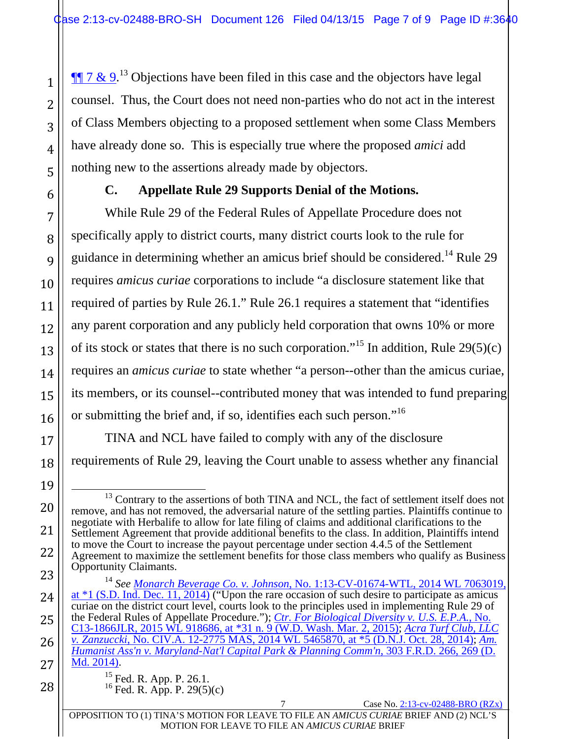$\P$  7 & 9.<sup>13</sup> Objections have been filed in this case and the objectors have legal counsel. Thus, the Court does not need non-parties who do not act in the interest of Class Members objecting to a proposed settlement when some Class Members have already done so. This is especially true where the proposed *amici* add nothing new to the assertions already made by objectors.

#### **C. Appellate Rule 29 Supports Denial of the Motions.**

While Rule 29 of the Federal Rules of Appellate Procedure does not specifically apply to district courts, many district courts look to the rule for guidance in determining whether an amicus brief should be considered.<sup>14</sup> Rule 29 requires *amicus curiae* corporations to include "a disclosure statement like that required of parties by Rule 26.1." Rule 26.1 requires a statement that "identifies any parent corporation and any publicly held corporation that owns 10% or more of its stock or states that there is no such corporation."<sup>15</sup> In addition, Rule 29(5)(c) requires an *amicus curiae* to state whether "a person--other than the amicus curiae, its members, or its counsel--contributed money that was intended to fund preparing or submitting the brief and, if so, identifies each such person."<sup>16</sup>

TINA and NCL have failed to comply with any of the disclosure requirements of Rule 29, leaving the Court unable to assess whether any financial

<sup>15</sup> Fed. R. App. P. 26.1.<br><sup>16</sup> Fed. R. App. P. 29(5)(c)

Case No. 2:13-cv-02488-BRO (RZx)

<sup>&</sup>lt;sup>13</sup> Contrary to the assertions of both TINA and NCL, the fact of settlement itself does not remove, and has not removed, the adversarial nature of the settling parties. Plaintiffs continue to negotiate with Herbalife to allow for late filing of claims and additional clarifications to the Settlement Agreement that provide additional benefits to the class. In addition, Plaintiffs intend to move the Court to increase the payout percentage under section 4.4.5 of the Settlement Agreement to maximize the settlement benefits for those class members who qualify as Business Opportunity Claimants.

<sup>14</sup> *See Monarch Beverage Co. v. Johnson*, No. 1:13-CV-01674-WTL, 2014 WL 7063019, at \*1 (S.D. Ind. Dec. 11, 2014) ("Upon the rare occasion of such desire to participate as amicus curiae on the district court level, courts look to the principles used in implementing Rule 29 of the Federal Rules of Appellate Procedure."); *Ctr. For Biological Diversity v. U.S. E.P.A.*, No. C13-1866JLR, 2015 WL 918686, at \*31 n. 9 (W.D. Wash. Mar. 2, 2015); *Acra Turf Club, LLC v. Zanzuccki*, No. CIV.A. 12-2775 MAS, 2014 WL 5465870, at \*5 (D.N.J. Oct. 28, 2014); *Am. Humanist Ass'n v. Maryland-Nat'l Capital Park & Planning Comm'n*, 303 F.R.D. 266, 269 (D. Md. 2014).

OPPOSITION TO (1) TINA'S MOTION FOR LEAVE TO FILE AN *AMICUS CURIAE* BRIEF AND (2) NCL'S MOTION FOR LEAVE TO FILE AN *AMICUS CURIAE* BRIEF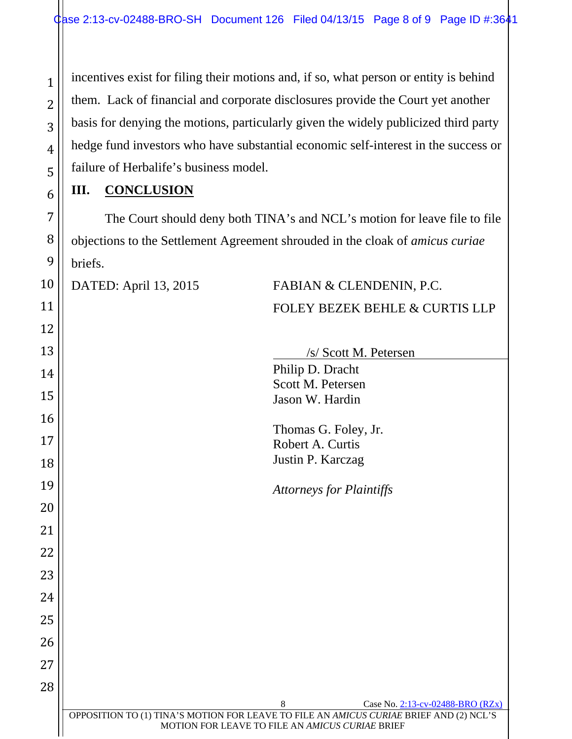incentives exist for filing their motions and, if so, what person or entity is behind them. Lack of financial and corporate disclosures provide the Court yet another basis for denying the motions, particularly given the widely publicized third party hedge fund investors who have substantial economic self-interest in the success or failure of Herbalife's business model.

#### **III. CONCLUSION**

The Court should deny both TINA's and NCL's motion for leave file to file objections to the Settlement Agreement shrouded in the cloak of *amicus curiae*  briefs.

Case No. 2:13-cv-02488-BRO (RZx) OPPOSITION TO (1) TINA'S MOTION FOR LEAVE TO FILE AN *AMICUS CURIAE* BRIEF AND (2) NCL'S MOTION FOR LEAVE TO FILE AN *AMICUS CURIAE* BRIEF DATED: April 13, 2015 FABIAN & CLENDENIN, P.C. FOLEY BEZEK BEHLE & CURTIS LLP /s/ Scott M. Petersen Philip D. Dracht Scott M. Petersen Jason W. Hardin Thomas G. Foley, Jr. Robert A. Curtis Justin P. Karczag *Attorneys for Plaintiffs*